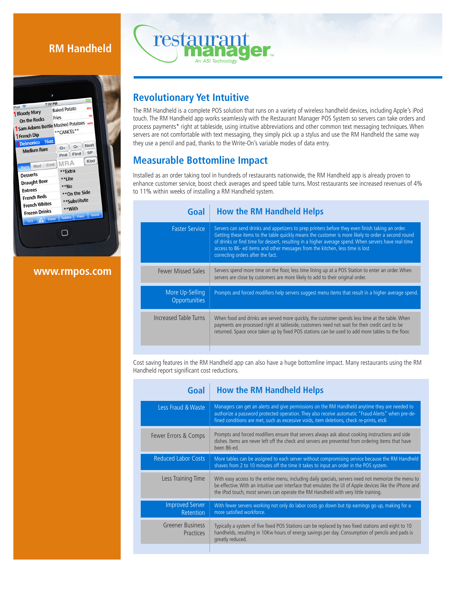# **RM Handheld**



**www.rmpos.com**



## **Revolutionary Yet Intuitive**

The RM Handheld is a complete POS solution that runs on a variety of wireless handheld devices, including Apple's iPod touch. The RM Handheld app works seamlessly with the Restaurant Manager POS System so servers can take orders and process payments\* right at tableside, using intuitive abbreviations and other common text messaging techniques. When servers are not comfortable with text messaging, they simply pick up a stylus and use the RM Handheld the same way they use a pencil and pad, thanks to the Write-On's variable modes of data entry.

# **Measurable Bottomline Impact**

Installed as an order taking tool in hundreds of restaurants nationwide, the RM Handheld app is already proven to enhance customer service, boost check averages and speed table turns. Most restaurants see increased revenues of 4% to 11% within weeks of installing a RM Handheld system.

| <b>How the RM Handheld Helps</b>                                                                                                                                                                                                                                                                                                                                                                                                     |
|--------------------------------------------------------------------------------------------------------------------------------------------------------------------------------------------------------------------------------------------------------------------------------------------------------------------------------------------------------------------------------------------------------------------------------------|
| Servers can send drinks and appetizers to prep printers before they even finish taking an order.<br>Getting these items to the table quickly means the customer is more likely to order a second round<br>of drinks or find time for dessert, resulting in a higher average spend. When servers have real-time<br>access to 86- ed items and other messages from the kitchen, less time is lost<br>correcting orders after the fact. |
| Servers spend more time on the floor, less time lining up at a POS Station to enter an order. When<br>servers are close by customers are more likely to add to their original order.                                                                                                                                                                                                                                                 |
| Prompts and forced modifiers help servers suggest menu items that result in a higher average spend.                                                                                                                                                                                                                                                                                                                                  |
| When food and drinks are served more quickly, the customer spends less time at the table. When<br>payments are processed right at tableside, customers need not wait for their credit card to be<br>returned. Space once taken up by fixed POS stations can be used to add more tables to the floor.                                                                                                                                 |
|                                                                                                                                                                                                                                                                                                                                                                                                                                      |

Cost saving features in the RM Handheld app can also have a huge bottomline impact. Many restaurants using the RM Handheld report significant cost reductions.

| Goal                                       | <b>How the RM Handheld Helps</b>                                                                                                                                                                                                                                                                        |
|--------------------------------------------|---------------------------------------------------------------------------------------------------------------------------------------------------------------------------------------------------------------------------------------------------------------------------------------------------------|
| Less Fraud & Waste                         | Managers can get an alerts and give permissions on the RM Handheld anytime they are needed to<br>authorize a password protected operation. They also receive automatic "Fraud Alerts" when pre-de-<br>fined conditions are met, such as excessive voids, item deletions, check re-prints, etc6          |
| Fewer Errors & Comps                       | Prompts and forced modifiers ensure that servers always ask about cooking instructions and side<br>dishes. Items are never left off the check and servers are prevented from ordering items that have<br>been 86-ed.                                                                                    |
| <b>Reduced Labor Costs</b>                 | More tables can be assigned to each server without compromising service because the RM Handheld<br>shaves from 2 to 10 minutes off the time it takes to input an order in the POS system.                                                                                                               |
| Less Training Time                         | With easy access to the entire menu, including daily specials, servers need not memorize the menu to<br>be effective. With an intuitive user interface that emulates the UI of Apple devices like the iPhone and<br>the iPod touch, most servers can operate the RM Handheld with very little training. |
| <b>Improved Server</b><br><b>Retention</b> | With fewer servers working not only do labor costs go down but tip earnings go up, making for a<br>more satisfied workforce.                                                                                                                                                                            |
| <b>Greener Business</b><br>Practices       | Typically a system of five fixed POS Stations can be replaced by two fixed stations and eight to 10<br>handhelds, resulting in 10Kw hours of energy savings per day. Consumption of pencils and pads is<br>greatly reduced.                                                                             |
|                                            |                                                                                                                                                                                                                                                                                                         |